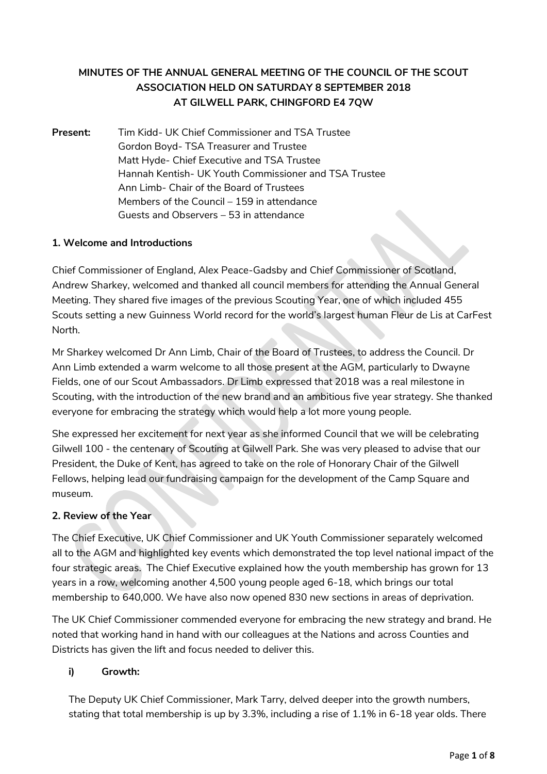# **MINUTES OF THE ANNUAL GENERAL MEETING OF THE COUNCIL OF THE SCOUT ASSOCIATION HELD ON SATURDAY 8 SEPTEMBER 2018 AT GILWELL PARK, CHINGFORD E4 7QW**

**Present:** Tim Kidd- UK Chief Commissioner and TSA Trustee Gordon Boyd- TSA Treasurer and Trustee Matt Hyde- Chief Executive and TSA Trustee Hannah Kentish- UK Youth Commissioner and TSA Trustee Ann Limb- Chair of the Board of Trustees Members of the Council – 159 in attendance Guests and Observers – 53 in attendance

### **1. Welcome and Introductions**

Chief Commissioner of England, Alex Peace-Gadsby and Chief Commissioner of Scotland, Andrew Sharkey, welcomed and thanked all council members for attending the Annual General Meeting. They shared five images of the previous Scouting Year, one of which included 455 Scouts setting a new Guinness World record for the world's largest human Fleur de Lis at CarFest North.

Mr Sharkey welcomed Dr Ann Limb, Chair of the Board of Trustees, to address the Council. Dr Ann Limb extended a warm welcome to all those present at the AGM, particularly to Dwayne Fields, one of our Scout Ambassadors. Dr Limb expressed that 2018 was a real milestone in Scouting, with the introduction of the new brand and an ambitious five year strategy. She thanked everyone for embracing the strategy which would help a lot more young people.

She expressed her excitement for next year as she informed Council that we will be celebrating Gilwell 100 - the centenary of Scouting at Gilwell Park. She was very pleased to advise that our President, the Duke of Kent, has agreed to take on the role of Honorary Chair of the Gilwell Fellows, helping lead our fundraising campaign for the development of the Camp Square and museum.

### **2. Review of the Year**

The Chief Executive, UK Chief Commissioner and UK Youth Commissioner separately welcomed all to the AGM and highlighted key events which demonstrated the top level national impact of the four strategic areas. The Chief Executive explained how the youth membership has grown for 13 years in a row, welcoming another 4,500 young people aged 6-18, which brings our total membership to 640,000. We have also now opened 830 new sections in areas of deprivation.

The UK Chief Commissioner commended everyone for embracing the new strategy and brand. He noted that working hand in hand with our colleagues at the Nations and across Counties and Districts has given the lift and focus needed to deliver this.

### **i) Growth:**

The Deputy UK Chief Commissioner, Mark Tarry, delved deeper into the growth numbers, stating that total membership is up by 3.3%, including a rise of 1.1% in 6-18 year olds. There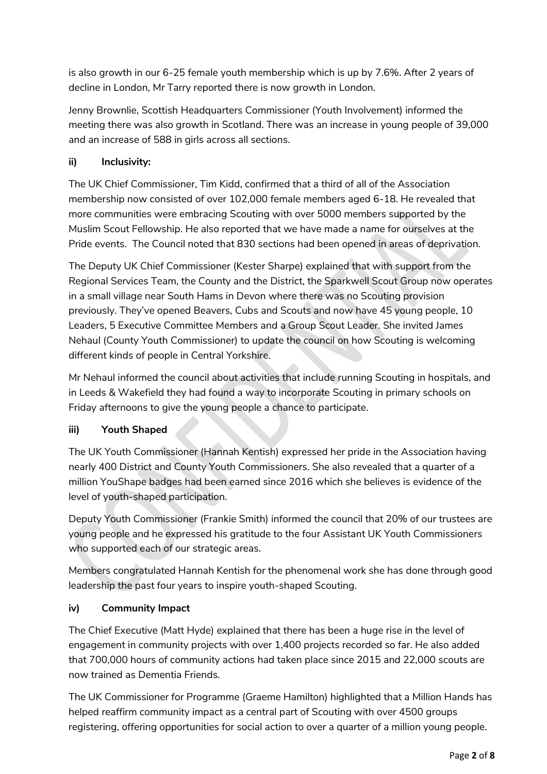is also growth in our 6-25 female youth membership which is up by 7.6%. After 2 years of decline in London, Mr Tarry reported there is now growth in London.

Jenny Brownlie, Scottish Headquarters Commissioner (Youth Involvement) informed the meeting there was also growth in Scotland. There was an increase in young people of 39,000 and an increase of 588 in girls across all sections.

# **ii) Inclusivity:**

The UK Chief Commissioner, Tim Kidd, confirmed that a third of all of the Association membership now consisted of over 102,000 female members aged 6-18. He revealed that more communities were embracing Scouting with over 5000 members supported by the Muslim Scout Fellowship. He also reported that we have made a name for ourselves at the Pride events. The Council noted that 830 sections had been opened in areas of deprivation.

The Deputy UK Chief Commissioner (Kester Sharpe) explained that with support from the Regional Services Team, the County and the District, the Sparkwell Scout Group now operates in a small village near South Hams in Devon where there was no Scouting provision previously. They've opened Beavers, Cubs and Scouts and now have 45 young people, 10 Leaders, 5 Executive Committee Members and a Group Scout Leader. She invited James Nehaul (County Youth Commissioner) to update the council on how Scouting is welcoming different kinds of people in Central Yorkshire.

Mr Nehaul informed the council about activities that include running Scouting in hospitals, and in Leeds & Wakefield they had found a way to incorporate Scouting in primary schools on Friday afternoons to give the young people a chance to participate.

## **iii) Youth Shaped**

The UK Youth Commissioner (Hannah Kentish) expressed her pride in the Association having nearly 400 District and County Youth Commissioners. She also revealed that a quarter of a million YouShape badges had been earned since 2016 which she believes is evidence of the level of youth-shaped participation.

Deputy Youth Commissioner (Frankie Smith) informed the council that 20% of our trustees are young people and he expressed his gratitude to the four Assistant UK Youth Commissioners who supported each of our strategic areas.

Members congratulated Hannah Kentish for the phenomenal work she has done through good leadership the past four years to inspire youth-shaped Scouting.

## **iv) Community Impact**

The Chief Executive (Matt Hyde) explained that there has been a huge rise in the level of engagement in community projects with over 1,400 projects recorded so far. He also added that 700,000 hours of community actions had taken place since 2015 and 22,000 scouts are now trained as Dementia Friends.

The UK Commissioner for Programme (Graeme Hamilton) highlighted that a Million Hands has helped reaffirm community impact as a central part of Scouting with over 4500 groups registering, offering opportunities for social action to over a quarter of a million young people.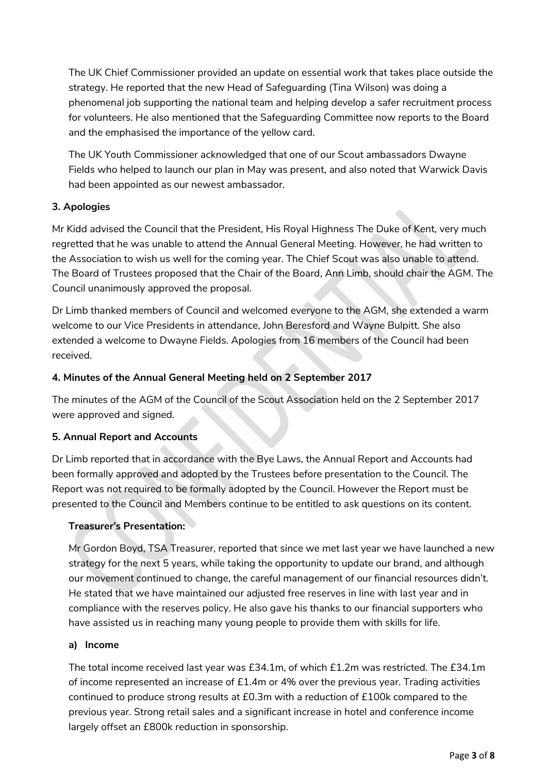The UK Chief Commissioner provided an update on essential work that takes place outside the strategy. He reported that the new Head of Safeguarding (Tina Wilson) was doing a phenomenal job supporting the national team and helping develop a safer recruitment process for volunteers. He also mentioned that the Safeguarding Committee now reports to the Board and the emphasised the importance of the yellow card.

The UK Youth Commissioner acknowledged that one of our Scout ambassadors Dwayne Fields who helped to launch our plan in May was present, and also noted that Warwick Davis had been appointed as our newest ambassador.

### **3. Apologies**

Mr Kidd advised the Council that the President, His Royal Highness The Duke of Kent, very much regretted that he was unable to attend the Annual General Meeting. However, he had written to the Association to wish us well for the coming year. The Chief Scout was also unable to attend. The Board of Trustees proposed that the Chair of the Board, Ann Limb, should chair the AGM. The Council unanimously approved the proposal.

Dr Limb thanked members of Council and welcomed everyone to the AGM, she extended a warm welcome to our Vice Presidents in attendance, John Beresford and Wayne Bulpitt. She also extended a welcome to Dwayne Fields. Apologies from 16 members of the Council had been received.

## **4. Minutes of the Annual General Meeting held on 2 September 2017**

The minutes of the AGM of the Council of the Scout Association held on the 2 September 2017 were approved and signed.

### **5. Annual Report and Accounts**

Dr Limb reported that in accordance with the Bye Laws, the Annual Report and Accounts had been formally approved and adopted by the Trustees before presentation to the Council. The Report was not required to be formally adopted by the Council. However the Report must be presented to the Council and Members continue to be entitled to ask questions on its content.

## **Treasurer's Presentation:**

Mr Gordon Boyd, TSA Treasurer, reported that since we met last year we have launched a new strategy for the next 5 years, while taking the opportunity to update our brand, and although our movement continued to change, the careful management of our financial resources didn't. He stated that we have maintained our adjusted free reserves in line with last year and in compliance with the reserves policy. He also gave his thanks to our financial supporters who have assisted us in reaching many young people to provide them with skills for life.

### **a) Income**

The total income received last year was £34.1m, of which £1.2m was restricted. The £34.1m of income represented an increase of £1.4m or 4% over the previous year. Trading activities continued to produce strong results at £0.3m with a reduction of £100k compared to the previous year. Strong retail sales and a significant increase in hotel and conference income largely offset an £800k reduction in sponsorship.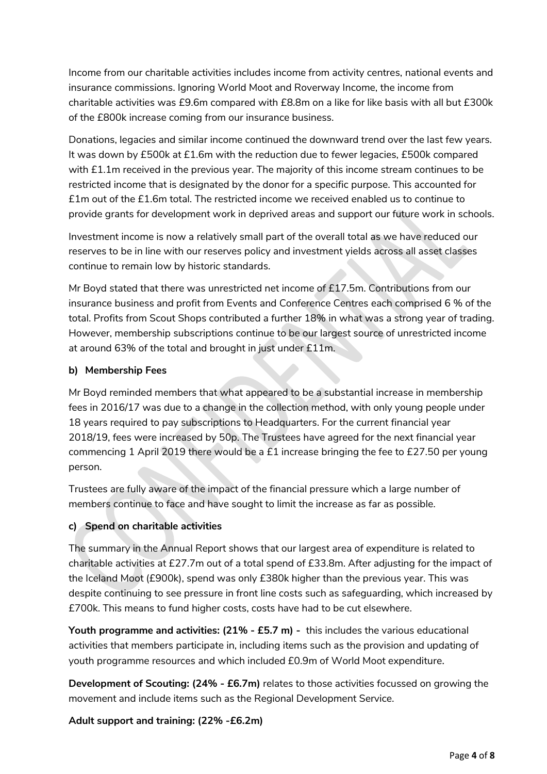Income from our charitable activities includes income from activity centres, national events and insurance commissions. Ignoring World Moot and Roverway Income, the income from charitable activities was £9.6m compared with £8.8m on a like for like basis with all but £300k of the £800k increase coming from our insurance business.

Donations, legacies and similar income continued the downward trend over the last few years. It was down by £500k at £1.6m with the reduction due to fewer legacies, £500k compared with £1.1m received in the previous year. The majority of this income stream continues to be restricted income that is designated by the donor for a specific purpose. This accounted for £1m out of the £1.6m total. The restricted income we received enabled us to continue to provide grants for development work in deprived areas and support our future work in schools.

Investment income is now a relatively small part of the overall total as we have reduced our reserves to be in line with our reserves policy and investment yields across all asset classes continue to remain low by historic standards.

Mr Boyd stated that there was unrestricted net income of £17.5m. Contributions from our insurance business and profit from Events and Conference Centres each comprised 6 % of the total. Profits from Scout Shops contributed a further 18% in what was a strong year of trading. However, membership subscriptions continue to be our largest source of unrestricted income at around 63% of the total and brought in just under £11m.

### **b) Membership Fees**

Mr Boyd reminded members that what appeared to be a substantial increase in membership fees in 2016/17 was due to a change in the collection method, with only young people under 18 years required to pay subscriptions to Headquarters. For the current financial year 2018/19, fees were increased by 50p. The Trustees have agreed for the next financial year commencing 1 April 2019 there would be a £1 increase bringing the fee to £27.50 per young person.

Trustees are fully aware of the impact of the financial pressure which a large number of members continue to face and have sought to limit the increase as far as possible.

### **c) Spend on charitable activities**

The summary in the Annual Report shows that our largest area of expenditure is related to charitable activities at £27.7m out of a total spend of £33.8m. After adjusting for the impact of the Iceland Moot (£900k), spend was only £380k higher than the previous year. This was despite continuing to see pressure in front line costs such as safeguarding, which increased by £700k. This means to fund higher costs, costs have had to be cut elsewhere.

**Youth programme and activities: (21% - £5.7 m) -** this includes the various educational activities that members participate in, including items such as the provision and updating of youth programme resources and which included £0.9m of World Moot expenditure.

**Development of Scouting: (24% - £6.7m)** relates to those activities focussed on growing the movement and include items such as the Regional Development Service.

**Adult support and training: (22% -£6.2m)**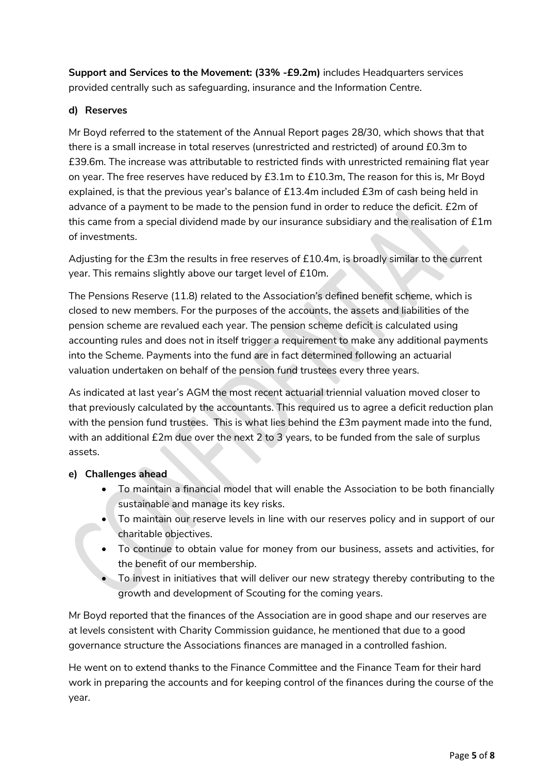**Support and Services to the Movement: (33% -£9.2m)** includes Headquarters services provided centrally such as safeguarding, insurance and the Information Centre.

### **d) Reserves**

Mr Boyd referred to the statement of the Annual Report pages 28/30, which shows that that there is a small increase in total reserves (unrestricted and restricted) of around £0.3m to £39.6m. The increase was attributable to restricted finds with unrestricted remaining flat year on year. The free reserves have reduced by £3.1m to £10.3m, The reason for this is, Mr Boyd explained, is that the previous year's balance of £13.4m included £3m of cash being held in advance of a payment to be made to the pension fund in order to reduce the deficit. £2m of this came from a special dividend made by our insurance subsidiary and the realisation of  $£1m$ of investments.

Adjusting for the £3m the results in free reserves of £10.4m, is broadly similar to the current year. This remains slightly above our target level of £10m.

The Pensions Reserve (11.8) related to the Association's defined benefit scheme, which is closed to new members. For the purposes of the accounts, the assets and liabilities of the pension scheme are revalued each year. The pension scheme deficit is calculated using accounting rules and does not in itself trigger a requirement to make any additional payments into the Scheme. Payments into the fund are in fact determined following an actuarial valuation undertaken on behalf of the pension fund trustees every three years.

As indicated at last year's AGM the most recent actuarial triennial valuation moved closer to that previously calculated by the accountants. This required us to agree a deficit reduction plan with the pension fund trustees. This is what lies behind the £3m payment made into the fund, with an additional £2m due over the next 2 to 3 years, to be funded from the sale of surplus assets.

### **e) Challenges ahead**

- To maintain a financial model that will enable the Association to be both financially sustainable and manage its key risks.
- To maintain our reserve levels in line with our reserves policy and in support of our charitable objectives.
- To continue to obtain value for money from our business, assets and activities, for the benefit of our membership.
- To invest in initiatives that will deliver our new strategy thereby contributing to the growth and development of Scouting for the coming years.

Mr Boyd reported that the finances of the Association are in good shape and our reserves are at levels consistent with Charity Commission guidance, he mentioned that due to a good governance structure the Associations finances are managed in a controlled fashion.

He went on to extend thanks to the Finance Committee and the Finance Team for their hard work in preparing the accounts and for keeping control of the finances during the course of the year.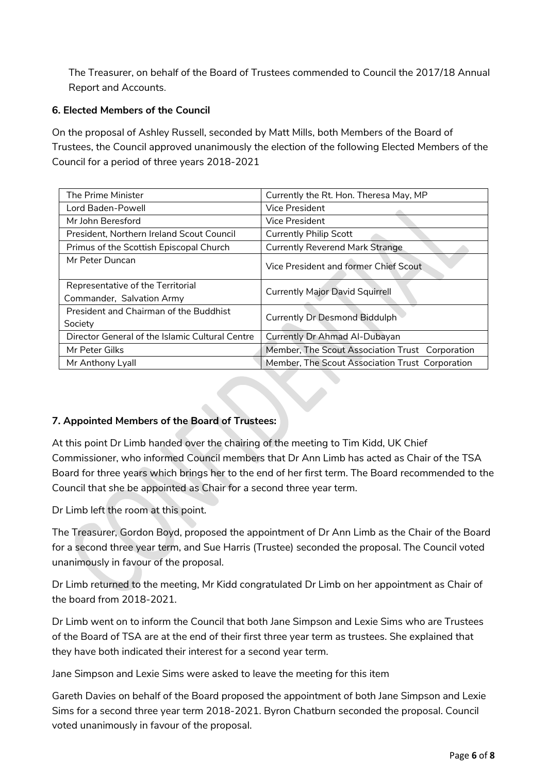The Treasurer, on behalf of the Board of Trustees commended to Council the 2017/18 Annual Report and Accounts.

### **6. Elected Members of the Council**

On the proposal of Ashley Russell, seconded by Matt Mills, both Members of the Board of Trustees, the Council approved unanimously the election of the following Elected Members of the Council for a period of three years 2018-2021

| The Prime Minister                              | Currently the Rt. Hon. Theresa May, MP          |
|-------------------------------------------------|-------------------------------------------------|
| Lord Baden-Powell                               | <b>Vice President</b>                           |
| Mr John Beresford                               | <b>Vice President</b>                           |
| President, Northern Ireland Scout Council       | <b>Currently Philip Scott</b>                   |
| Primus of the Scottish Episcopal Church         | <b>Currently Reverend Mark Strange</b>          |
| Mr Peter Duncan                                 | Vice President and former Chief Scout           |
| Representative of the Territorial               | <b>Currently Major David Squirrell</b>          |
| Commander, Salvation Army                       |                                                 |
| President and Chairman of the Buddhist          | <b>Currently Dr Desmond Biddulph</b>            |
| Society                                         |                                                 |
| Director General of the Islamic Cultural Centre | Currently Dr Ahmad Al-Dubayan                   |
| Mr Peter Gilks                                  | Member, The Scout Association Trust Corporation |
| Mr Anthony Lyall                                | Member, The Scout Association Trust Corporation |

## **7. Appointed Members of the Board of Trustees:**

At this point Dr Limb handed over the chairing of the meeting to Tim Kidd, UK Chief Commissioner, who informed Council members that Dr Ann Limb has acted as Chair of the TSA Board for three years which brings her to the end of her first term. The Board recommended to the Council that she be appointed as Chair for a second three year term.

Dr Limb left the room at this point.

The Treasurer, Gordon Boyd, proposed the appointment of Dr Ann Limb as the Chair of the Board for a second three year term, and Sue Harris (Trustee) seconded the proposal. The Council voted unanimously in favour of the proposal.

Dr Limb returned to the meeting, Mr Kidd congratulated Dr Limb on her appointment as Chair of the board from 2018-2021.

Dr Limb went on to inform the Council that both Jane Simpson and Lexie Sims who are Trustees of the Board of TSA are at the end of their first three year term as trustees. She explained that they have both indicated their interest for a second year term.

Jane Simpson and Lexie Sims were asked to leave the meeting for this item

Gareth Davies on behalf of the Board proposed the appointment of both Jane Simpson and Lexie Sims for a second three year term 2018-2021. Byron Chatburn seconded the proposal. Council voted unanimously in favour of the proposal.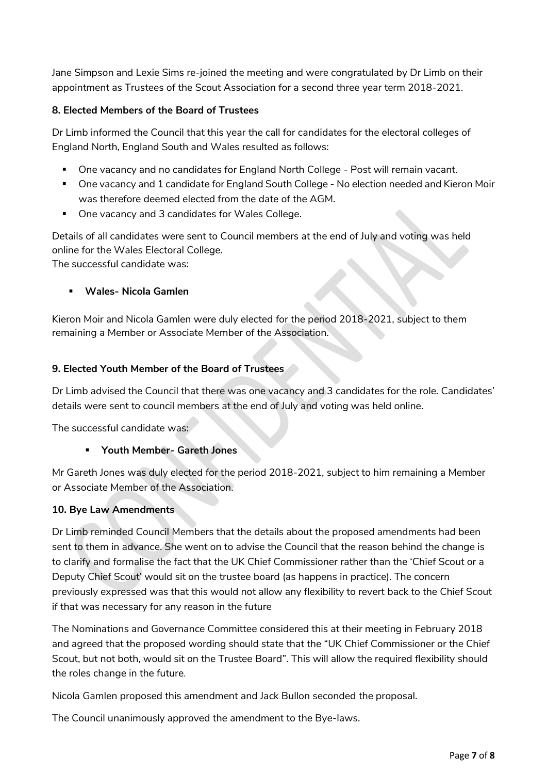Jane Simpson and Lexie Sims re-joined the meeting and were congratulated by Dr Limb on their appointment as Trustees of the Scout Association for a second three year term 2018-2021.

#### **8. Elected Members of the Board of Trustees**

Dr Limb informed the Council that this year the call for candidates for the electoral colleges of England North, England South and Wales resulted as follows:

- One vacancy and no candidates for England North College Post will remain vacant.
- One vacancy and 1 candidate for England South College No election needed and Kieron Moir was therefore deemed elected from the date of the AGM.
- One vacancy and 3 candidates for Wales College.

Details of all candidates were sent to Council members at the end of July and voting was held online for the Wales Electoral College.

The successful candidate was:

**Wales- Nicola Gamlen**

Kieron Moir and Nicola Gamlen were duly elected for the period 2018-2021, subject to them remaining a Member or Associate Member of the Association.

#### **9. Elected Youth Member of the Board of Trustees**

Dr Limb advised the Council that there was one vacancy and 3 candidates for the role. Candidates' details were sent to council members at the end of July and voting was held online.

The successful candidate was:

### **Youth Member- Gareth Jones**

Mr Gareth Jones was duly elected for the period 2018-2021, subject to him remaining a Member or Associate Member of the Association.

#### **10. Bye Law Amendments**

Dr Limb reminded Council Members that the details about the proposed amendments had been sent to them in advance. She went on to advise the Council that the reason behind the change is to clarify and formalise the fact that the UK Chief Commissioner rather than the 'Chief Scout or a Deputy Chief Scout' would sit on the trustee board (as happens in practice). The concern previously expressed was that this would not allow any flexibility to revert back to the Chief Scout if that was necessary for any reason in the future

The Nominations and Governance Committee considered this at their meeting in February 2018 and agreed that the proposed wording should state that the "UK Chief Commissioner or the Chief Scout, but not both, would sit on the Trustee Board". This will allow the required flexibility should the roles change in the future.

Nicola Gamlen proposed this amendment and Jack Bullon seconded the proposal.

The Council unanimously approved the amendment to the Bye-laws.